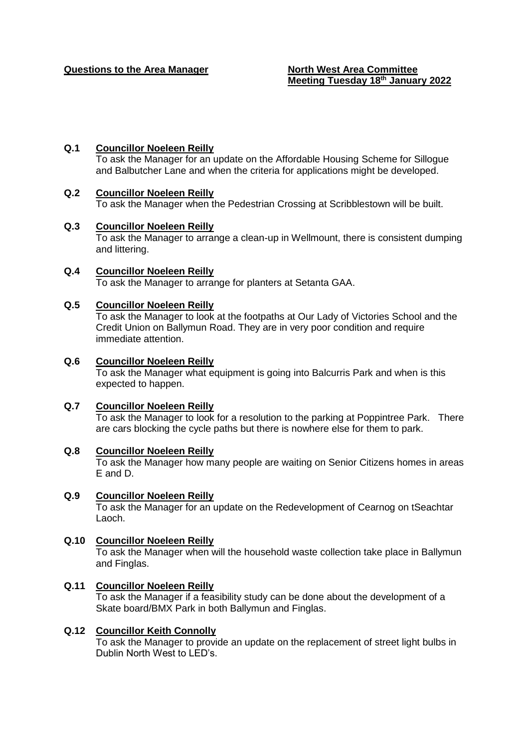# **Q.1 Councillor Noeleen Reilly**

To ask the Manager for an update on the Affordable Housing Scheme for Sillogue and Balbutcher Lane and when the criteria for applications might be developed.

## **Q.2 Councillor Noeleen Reilly**

To ask the Manager when the Pedestrian Crossing at Scribblestown will be built.

### **Q.3 Councillor Noeleen Reilly**

To ask the Manager to arrange a clean-up in Wellmount, there is consistent dumping and littering.

**Q.4 Councillor Noeleen Reilly**  To ask the Manager to arrange for planters at Setanta GAA.

## **Q.5 Councillor Noeleen Reilly**

To ask the Manager to look at the footpaths at Our Lady of Victories School and the Credit Union on Ballymun Road. They are in very poor condition and require immediate attention.

## **Q.6 Councillor Noeleen Reilly**

To ask the Manager what equipment is going into Balcurris Park and when is this expected to happen.

### **Q.7 Councillor Noeleen Reilly**

To ask the Manager to look for a resolution to the parking at Poppintree Park. There are cars blocking the cycle paths but there is nowhere else for them to park.

### **Q.8 Councillor Noeleen Reilly**

To ask the Manager how many people are waiting on Senior Citizens homes in areas E and D.

### **Q.9 Councillor Noeleen Reilly**

To ask the Manager for an update on the Redevelopment of Cearnog on tSeachtar Laoch.

### **Q.10 Councillor Noeleen Reilly**

To ask the Manager when will the household waste collection take place in Ballymun and Finglas.

# **Q.11 Councillor Noeleen Reilly**

To ask the Manager if a feasibility study can be done about the development of a Skate board/BMX Park in both Ballymun and Finglas.

### **Q.12 Councillor Keith Connolly**

To ask the Manager to provide an update on the replacement of street light bulbs in Dublin North West to LED's.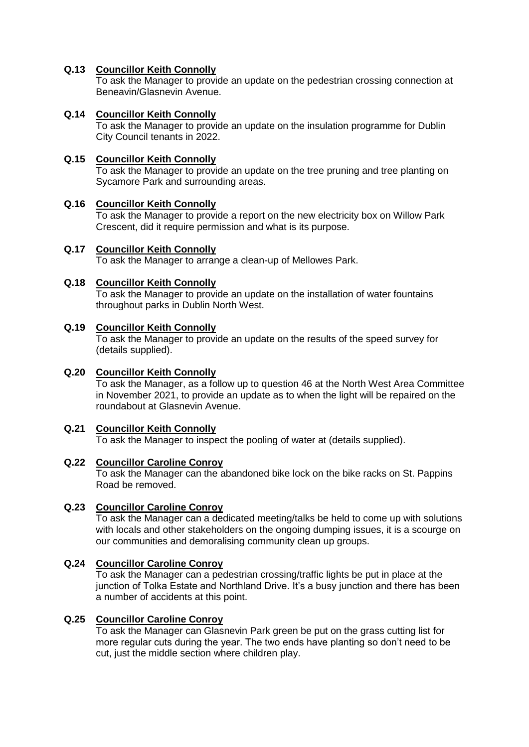# **Q.13 Councillor Keith Connolly**

To ask the Manager to provide an update on the pedestrian crossing connection at Beneavin/Glasnevin Avenue.

# **Q.14 Councillor Keith Connolly**

To ask the Manager to provide an update on the insulation programme for Dublin City Council tenants in 2022.

# **Q.15 Councillor Keith Connolly**

To ask the Manager to provide an update on the tree pruning and tree planting on Sycamore Park and surrounding areas.

## **Q.16 Councillor Keith Connolly**

To ask the Manager to provide a report on the new electricity box on Willow Park Crescent, did it require permission and what is its purpose.

# **Q.17 Councillor Keith Connolly**

To ask the Manager to arrange a clean-up of Mellowes Park.

## **Q.18 Councillor Keith Connolly**

To ask the Manager to provide an update on the installation of water fountains throughout parks in Dublin North West.

# **Q.19 Councillor Keith Connolly**

To ask the Manager to provide an update on the results of the speed survey for (details supplied).

# **Q.20 Councillor Keith Connolly**

To ask the Manager, as a follow up to question 46 at the North West Area Committee in November 2021, to provide an update as to when the light will be repaired on the roundabout at Glasnevin Avenue.

# **Q.21 Councillor Keith Connolly**

To ask the Manager to inspect the pooling of water at (details supplied).

### **Q.22 Councillor Caroline Conroy**

To ask the Manager can the abandoned bike lock on the bike racks on St. Pappins Road be removed.

# **Q.23 Councillor Caroline Conroy**

To ask the Manager can a dedicated meeting/talks be held to come up with solutions with locals and other stakeholders on the ongoing dumping issues, it is a scourge on our communities and demoralising community clean up groups.

# **Q.24 Councillor Caroline Conroy**

To ask the Manager can a pedestrian crossing/traffic lights be put in place at the junction of Tolka Estate and Northland Drive. It's a busy junction and there has been a number of accidents at this point.

## **Q.25 Councillor Caroline Conroy**

To ask the Manager can Glasnevin Park green be put on the grass cutting list for more regular cuts during the year. The two ends have planting so don't need to be cut, just the middle section where children play.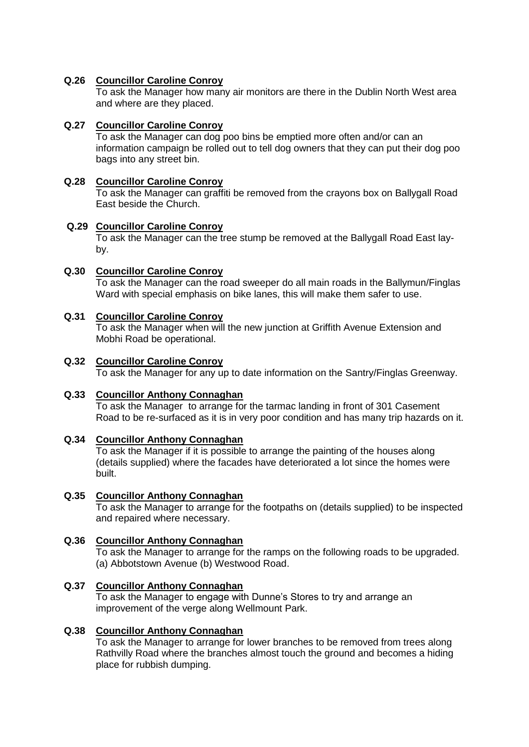# **Q.26 Councillor Caroline Conroy**

To ask the Manager how many air monitors are there in the Dublin North West area and where are they placed.

# **Q.27 Councillor Caroline Conroy**

To ask the Manager can dog poo bins be emptied more often and/or can an information campaign be rolled out to tell dog owners that they can put their dog poo bags into any street bin.

# **Q.28 Councillor Caroline Conroy**

To ask the Manager can graffiti be removed from the crayons box on Ballygall Road East beside the Church.

## **Q.29 Councillor Caroline Conroy**

To ask the Manager can the tree stump be removed at the Ballygall Road East layby.

## **Q.30 Councillor Caroline Conroy**

To ask the Manager can the road sweeper do all main roads in the Ballymun/Finglas Ward with special emphasis on bike lanes, this will make them safer to use.

## **Q.31 Councillor Caroline Conroy**

To ask the Manager when will the new junction at Griffith Avenue Extension and Mobhi Road be operational.

## **Q.32 Councillor Caroline Conroy**

To ask the Manager for any up to date information on the Santry/Finglas Greenway.

### **Q.33 Councillor Anthony Connaghan**

To ask the Manager to arrange for the tarmac landing in front of 301 Casement Road to be re-surfaced as it is in very poor condition and has many trip hazards on it.

### **Q.34 Councillor Anthony Connaghan**

To ask the Manager if it is possible to arrange the painting of the houses along (details supplied) where the facades have deteriorated a lot since the homes were built.

# **Q.35 Councillor Anthony Connaghan**

To ask the Manager to arrange for the footpaths on (details supplied) to be inspected and repaired where necessary.

## **Q.36 Councillor Anthony Connaghan**

To ask the Manager to arrange for the ramps on the following roads to be upgraded. (a) Abbotstown Avenue (b) Westwood Road.

# **Q.37 Councillor Anthony Connaghan**

To ask the Manager to engage with Dunne's Stores to try and arrange an improvement of the verge along Wellmount Park.

## **Q.38 Councillor Anthony Connaghan**

To ask the Manager to arrange for lower branches to be removed from trees along Rathvilly Road where the branches almost touch the ground and becomes a hiding place for rubbish dumping.